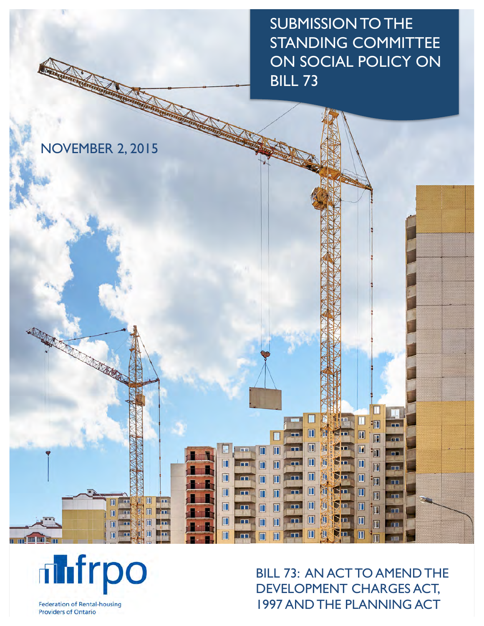SUBMISSION TO THE STANDING COMMITTEE ON SOCIAL POLICY ON BILL 73

NOVEMBER 2, 2015

A ROOM

**The India** 



**FEDERATION OF RENTAL-HOUSING PROVIDERS OF ONE OF ONE ONE OF ONE ONLY SERVICES** BILL 73: AN ACT TO AMEND THE 1997 AND THE PLANNING ACT

П

河

 $\overline{\mathbf{m}}$ 

洄

圃

**im** 

T

TH

 $\overline{1}$ 

 $\mathbf{r}$ 

m

 $\Box$ 

 $\Box$ 

 $\Box$ 

Ш 抑

n H

 $\mathbf F$ 

 $\blacksquare$ 

 $\blacksquare$ 

 $\blacksquare$ 

 $\blacksquare$ 

 $\blacksquare$ 

 $\blacksquare$ 

Ñп

Šш

5п

Ďп

Ŋп

 $\mathbb{S}^{\mathbf{m}}$ 

Dп

 $\mathbb{C}\mathbb{H}$ 

 $\blacksquare$ 

吅 雁

M 捕

Ш Æ

 $\blacksquare$ m

П 狐

 $\blacksquare$ 

 $\blacksquare$  $\mathbf{u}$ 

仙

Œ

m

m

E

 $\mathbf{m}$ 

П

**FRAME** 

П

Π

 $\blacksquare$  $\blacksquare$ 

 $\blacksquare$  $\blacksquare$ 

 $\overline{\mathbb{D}}$ m

m

m

т

m

 $\overline{\mathbf{u}}$ 

Π

 $\mathbf{r}$ 

m

**DET** 

m

╶┟┲┑

 $\blacksquare$ 

面 欁

m

 $\blacksquare$ 

m

m **m** 

 $\mathbf{u}$ 

**Federation of Rental-housing Providers of Ontario**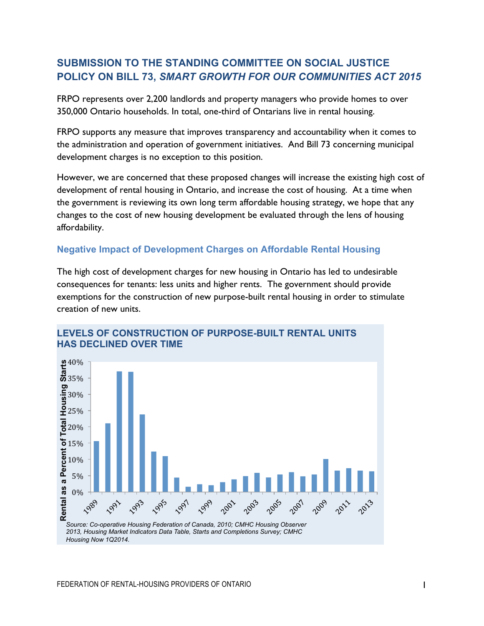# **SUBMISSION TO THE STANDING COMMITTEE ON SOCIAL JUSTICE POLICY ON BILL 73,** *SMART GROWTH FOR OUR COMMUNITIES ACT 2015*

FRPO represents over 2,200 landlords and property managers who provide homes to over 350,000 Ontario households. In total, one-third of Ontarians live in rental housing.

FRPO supports any measure that improves transparency and accountability when it comes to the administration and operation of government initiatives. And Bill 73 concerning municipal development charges is no exception to this position.

However, we are concerned that these proposed changes will increase the existing high cost of development of rental housing in Ontario, and increase the cost of housing. At a time when the government is reviewing its own long term affordable housing strategy, we hope that any changes to the cost of new housing development be evaluated through the lens of housing affordability.

## **Negative Impact of Development Charges on Affordable Rental Housing**

The high cost of development charges for new housing in Ontario has led to undesirable consequences for tenants: less units and higher rents. The government should provide exemptions for the construction of new purpose-built rental housing in order to stimulate creation of new units.



#### **LEVELS OF CONSTRUCTION OF PURPOSE-BUILT RENTAL UNITS HAS DECLINED OVER TIME**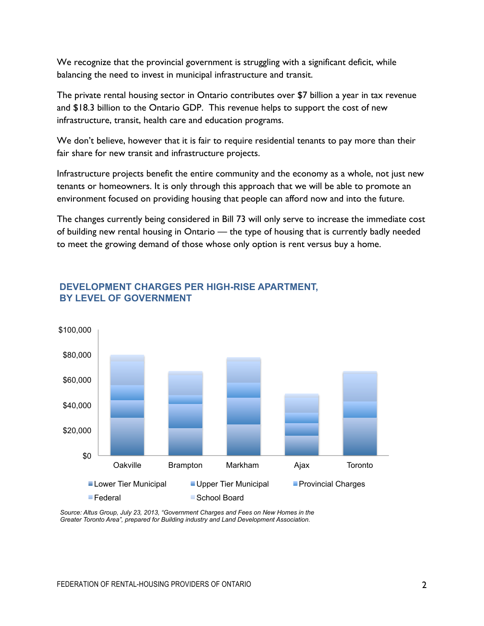We recognize that the provincial government is struggling with a significant deficit, while balancing the need to invest in municipal infrastructure and transit.

The private rental housing sector in Ontario contributes over \$7 billion a year in tax revenue and \$18.3 billion to the Ontario GDP. This revenue helps to support the cost of new infrastructure, transit, health care and education programs.

We don't believe, however that it is fair to require residential tenants to pay more than their fair share for new transit and infrastructure projects.

Infrastructure projects benefit the entire community and the economy as a whole, not just new tenants or homeowners. It is only through this approach that we will be able to promote an environment focused on providing housing that people can afford now and into the future.

The changes currently being considered in Bill 73 will only serve to increase the immediate cost of building new rental housing in Ontario — the type of housing that is currently badly needed to meet the growing demand of those whose only option is rent versus buy a home.



## **DEVELOPMENT CHARGES PER HIGH-RISE APARTMENT, BY LEVEL OF GOVERNMENT**

*Source: Altus Group, July 23, 2013, "Government Charges and Fees on New Homes in the Greater Toronto Area", prepared for Building industry and Land Development Association.*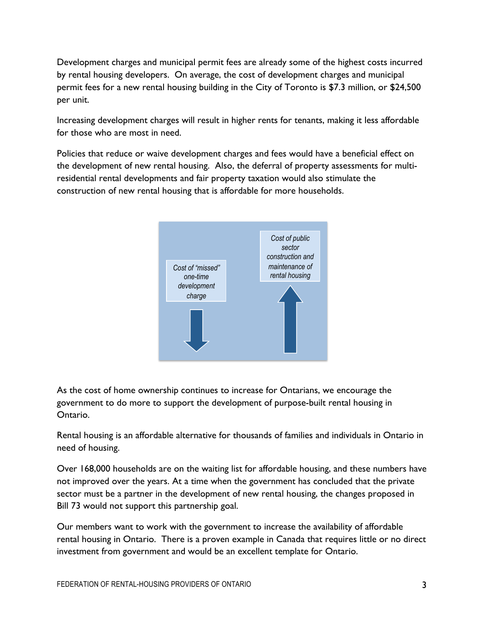Development charges and municipal permit fees are already some of the highest costs incurred by rental housing developers. On average, the cost of development charges and municipal permit fees for a new rental housing building in the City of Toronto is \$7.3 million, or \$24,500 per unit.

Increasing development charges will result in higher rents for tenants, making it less affordable for those who are most in need.

Policies that reduce or waive development charges and fees would have a beneficial effect on the development of new rental housing. Also, the deferral of property assessments for multiresidential rental developments and fair property taxation would also stimulate the construction of new rental housing that is affordable for more households.



As the cost of home ownership continues to increase for Ontarians, we encourage the government to do more to support the development of purpose-built rental housing in Ontario.

Rental housing is an affordable alternative for thousands of families and individuals in Ontario in need of housing.

Over 168,000 households are on the waiting list for affordable housing, and these numbers have not improved over the years. At a time when the government has concluded that the private sector must be a partner in the development of new rental housing, the changes proposed in Bill 73 would not support this partnership goal.

Our members want to work with the government to increase the availability of affordable rental housing in Ontario. There is a proven example in Canada that requires little or no direct investment from government and would be an excellent template for Ontario.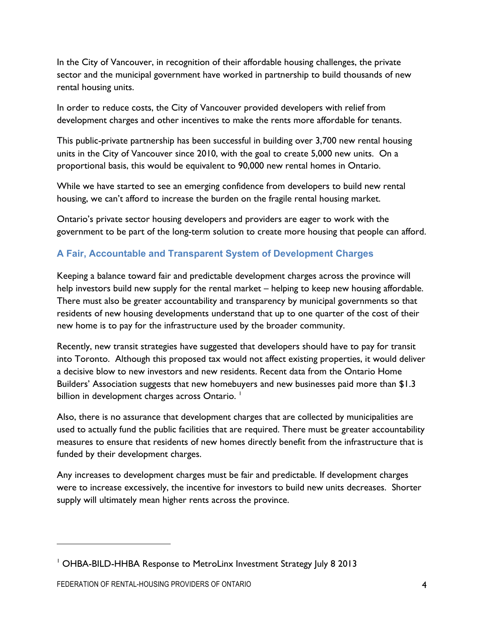In the City of Vancouver, in recognition of their affordable housing challenges, the private sector and the municipal government have worked in partnership to build thousands of new rental housing units.

In order to reduce costs, the City of Vancouver provided developers with relief from development charges and other incentives to make the rents more affordable for tenants.

This public-private partnership has been successful in building over 3,700 new rental housing units in the City of Vancouver since 2010, with the goal to create 5,000 new units. On a proportional basis, this would be equivalent to 90,000 new rental homes in Ontario.

While we have started to see an emerging confidence from developers to build new rental housing, we can't afford to increase the burden on the fragile rental housing market.

Ontario's private sector housing developers and providers are eager to work with the government to be part of the long-term solution to create more housing that people can afford.

# **A Fair, Accountable and Transparent System of Development Charges**

Keeping a balance toward fair and predictable development charges across the province will help investors build new supply for the rental market – helping to keep new housing affordable. There must also be greater accountability and transparency by municipal governments so that residents of new housing developments understand that up to one quarter of the cost of their new home is to pay for the infrastructure used by the broader community.

Recently, new transit strategies have suggested that developers should have to pay for transit into Toronto. Although this proposed tax would not affect existing properties, it would deliver a decisive blow to new investors and new residents. Recent data from the Ontario Home Builders' Association suggests that new homebuyers and new businesses paid more than \$1.3 billion in development charges across Ontario.  $^\mathsf{I}$ 

Also, there is no assurance that development charges that are collected by municipalities are used to actually fund the public facilities that are required. There must be greater accountability measures to ensure that residents of new homes directly benefit from the infrastructure that is funded by their development charges.

Any increases to development charges must be fair and predictable. If development charges were to increase excessively, the incentive for investors to build new units decreases. Shorter supply will ultimately mean higher rents across the province.

1

<sup>1</sup> OHBA-BILD-HHBA Response to MetroLinx Investment Strategy July 8 2013